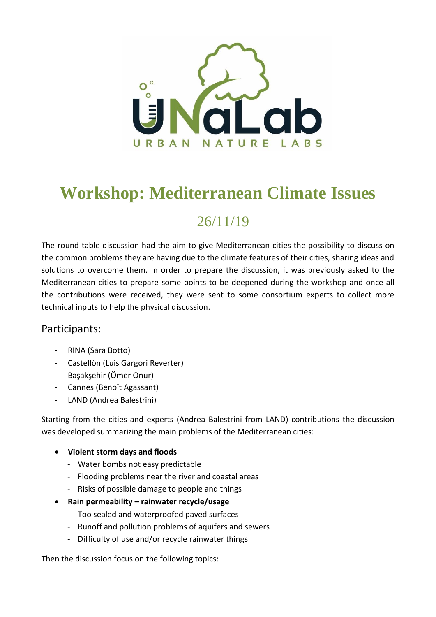

# **Workshop: Mediterranean Climate Issues**

## 26/11/19

The round-table discussion had the aim to give Mediterranean cities the possibility to discuss on the common problems they are having due to the climate features of their cities, sharing ideas and solutions to overcome them. In order to prepare the discussion, it was previously asked to the Mediterranean cities to prepare some points to be deepened during the workshop and once all the contributions were received, they were sent to some consortium experts to collect more technical inputs to help the physical discussion.

## Participants:

- RINA (Sara Botto)
- Castellòn (Luis Gargori Reverter)
- Başakşehir (Ӧmer Onur)
- Cannes (Benoît Agassant)
- LAND (Andrea Balestrini)

Starting from the cities and experts (Andrea Balestrini from LAND) contributions the discussion was developed summarizing the main problems of the Mediterranean cities:

## **Violent storm days and floods**

- Water bombs not easy predictable
- Flooding problems near the river and coastal areas
- Risks of possible damage to people and things
- **Rain permeability – rainwater recycle/usage**
	- Too sealed and waterproofed paved surfaces
	- Runoff and pollution problems of aquifers and sewers
	- Difficulty of use and/or recycle rainwater things

Then the discussion focus on the following topics: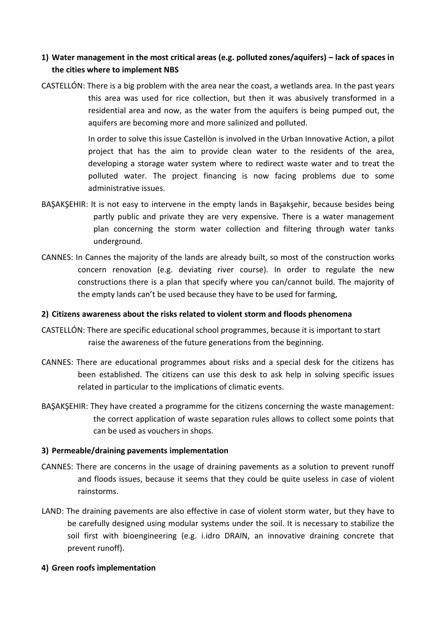## **1) Water management in the most critical areas (e.g. polluted zones/aquifers) – lack of spaces in the cities where to implement NBS**

CASTELLÓN: There is a big problem with the area near the coast, a wetlands area. In the past years this area was used for rice collection, but then it was abusively transformed in a residential area and now, as the water from the aquifers is being pumped out, the aquifers are becoming more and more salinized and polluted.

> In order to solve this issue Castellòn is involved in the Urban Innovative Action, a pilot project that has the aim to provide clean water to the residents of the area, developing a storage water system where to redirect waste water and to treat the polluted water. The project financing is now facing problems due to some administrative issues.

- BAŞAKŞEHIR: It is not easy to intervene in the empty lands in Başakşehir, because besides being partly public and private they are very expensive. There is a water management plan concerning the storm water collection and filtering through water tanks underground.
- CANNES: In Cannes the majority of the lands are already built, so most of the construction works concern renovation (e.g. deviating river course). In order to regulate the new constructions there is a plan that specify where you can/cannot build. The majority of the empty lands can't be used because they have to be used for farming,

## **2) Citizens awareness about the risks related to violent storm and floods phenomena**

- CASTELLÓN: There are specific educational school programmes, because it is important to start raise the awareness of the future generations from the beginning.
- CANNES: There are educational programmes about risks and a special desk for the citizens has been established. The citizens can use this desk to ask help in solving specific issues related in particular to the implications of climatic events.
- BAŞAKŞEHIR: They have created a programme for the citizens concerning the waste management: the correct application of waste separation rules allows to collect some points that can be used as vouchers in shops.

## **3) Permeable/draining pavements implementation**

- CANNES: There are concerns in the usage of draining pavements as a solution to prevent runoff and floods issues, because it seems that they could be quite useless in case of violent rainstorms.
- LAND: The draining pavements are also effective in case of violent storm water, but they have to be carefully designed using modular systems under the soil. It is necessary to stabilize the soil first with bioengineering (e.g. i.idro DRAIN, an innovative draining concrete that prevent runoff).

## **4) Green roofs implementation**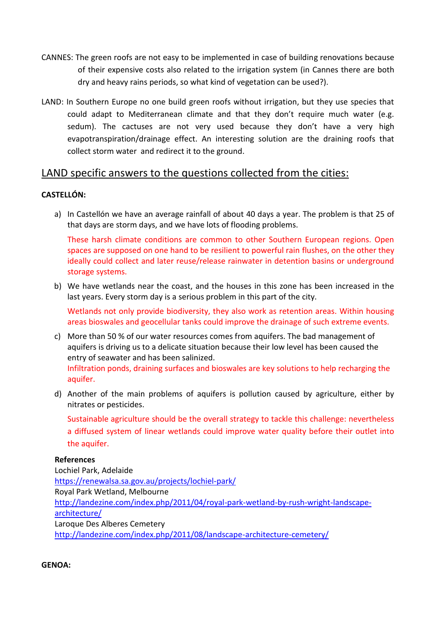- CANNES: The green roofs are not easy to be implemented in case of building renovations because of their expensive costs also related to the irrigation system (in Cannes there are both dry and heavy rains periods, so what kind of vegetation can be used?).
- LAND: In Southern Europe no one build green roofs without irrigation, but they use species that could adapt to Mediterranean climate and that they don't require much water (e.g. sedum). The cactuses are not very used because they don't have a very high evapotranspiration/drainage effect. An interesting solution are the draining roofs that collect storm water and redirect it to the ground.

## LAND specific answers to the questions collected from the cities:

## **CASTELLÓN:**

a) In Castellón we have an average rainfall of about 40 days a year. The problem is that 25 of that days are storm days, and we have lots of flooding problems.

These harsh climate conditions are common to other Southern European regions. Open spaces are supposed on one hand to be resilient to powerful rain flushes, on the other they ideally could collect and later reuse/release rainwater in detention basins or underground storage systems.

b) We have wetlands near the coast, and the houses in this zone has been increased in the last years. Every storm day is a serious problem in this part of the city.

Wetlands not only provide biodiversity, they also work as retention areas. Within housing areas bioswales and geocellular tanks could improve the drainage of such extreme events.

- c) More than 50 % of our water resources comes from aquifers. The bad management of aquifers is driving us to a delicate situation because their low level has been caused the entry of seawater and has been salinized. Infiltration ponds, draining surfaces and bioswales are key solutions to help recharging the aquifer.
- d) Another of the main problems of aquifers is pollution caused by agriculture, either by nitrates or pesticides.

Sustainable agriculture should be the overall strategy to tackle this challenge: nevertheless a diffused system of linear wetlands could improve water quality before their outlet into the aquifer.

## **References**

Lochiel Park, Adelaide <https://renewalsa.sa.gov.au/projects/lochiel-park/> Royal Park Wetland, Melbourne [http://landezine.com/index.php/2011/04/royal-park-wetland-by-rush-wright-landscape](http://landezine.com/index.php/2011/04/royal-park-wetland-by-rush-wright-landscape-architecture/)[architecture/](http://landezine.com/index.php/2011/04/royal-park-wetland-by-rush-wright-landscape-architecture/) Laroque Des Alberes Cemetery <http://landezine.com/index.php/2011/08/landscape-architecture-cemetery/>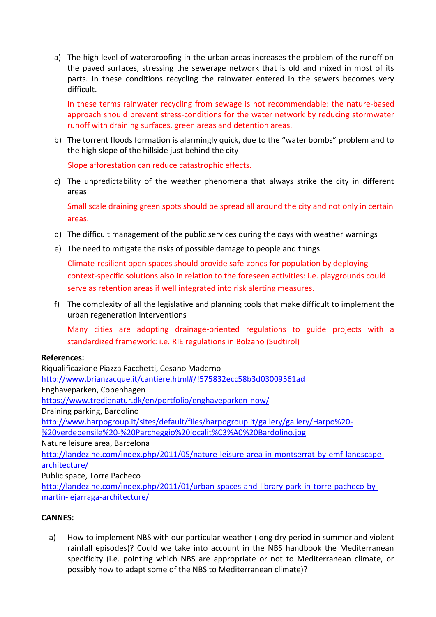a) The high level of waterproofing in the urban areas increases the problem of the runoff on the paved surfaces, stressing the sewerage network that is old and mixed in most of its parts. In these conditions recycling the rainwater entered in the sewers becomes very difficult.

In these terms rainwater recycling from sewage is not recommendable: the nature-based approach should prevent stress-conditions for the water network by reducing stormwater runoff with draining surfaces, green areas and detention areas.

b) The torrent floods formation is alarmingly quick, due to the "water bombs" problem and to the high slope of the hillside just behind the city

Slope afforestation can reduce catastrophic effects.

c) The unpredictability of the weather phenomena that always strike the city in different areas

Small scale draining green spots should be spread all around the city and not only in certain areas.

- d) The difficult management of the public services during the days with weather warnings
- e) The need to mitigate the risks of possible damage to people and things

Climate-resilient open spaces should provide safe-zones for population by deploying context-specific solutions also in relation to the foreseen activities: i.e. playgrounds could serve as retention areas if well integrated into risk alerting measures.

f) The complexity of all the legislative and planning tools that make difficult to implement the urban regeneration interventions

Many cities are adopting drainage-oriented regulations to guide projects with a standardized framework: i.e. RIE regulations in Bolzano (Sudtirol)

## **References:**

Riqualificazione Piazza Facchetti, Cesano Maderno <http://www.brianzacque.it/cantiere.html#/!575832ecc58b3d03009561ad> Enghaveparken, Copenhagen <https://www.tredjenatur.dk/en/portfolio/enghaveparken-now/> Draining parking, Bardolino [http://www.harpogroup.it/sites/default/files/harpogroup.it/gallery/gallery/Harpo%20-](http://www.harpogroup.it/sites/default/files/harpogroup.it/gallery/gallery/Harpo%20-%20verdepensile%20-%20Parcheggio%20localit%C3%A0%20Bardolino.jpg) [%20verdepensile%20-%20Parcheggio%20localit%C3%A0%20Bardolino.jpg](http://www.harpogroup.it/sites/default/files/harpogroup.it/gallery/gallery/Harpo%20-%20verdepensile%20-%20Parcheggio%20localit%C3%A0%20Bardolino.jpg) Nature leisure area, Barcelona [http://landezine.com/index.php/2011/05/nature-leisure-area-in-montserrat-by-emf-landscape](http://landezine.com/index.php/2011/05/nature-leisure-area-in-montserrat-by-emf-landscape-architecture/)[architecture/](http://landezine.com/index.php/2011/05/nature-leisure-area-in-montserrat-by-emf-landscape-architecture/) Public space, Torre Pacheco [http://landezine.com/index.php/2011/01/urban-spaces-and-library-park-in-torre-pacheco-by-](http://landezine.com/index.php/2011/01/urban-spaces-and-library-park-in-torre-pacheco-by-martin-lejarraga-architecture/)

[martin-lejarraga-architecture/](http://landezine.com/index.php/2011/01/urban-spaces-and-library-park-in-torre-pacheco-by-martin-lejarraga-architecture/)

## **CANNES:**

a) How to implement NBS with our particular weather (long dry period in summer and violent rainfall episodes)? Could we take into account in the NBS handbook the Mediterranean specificity (i.e. pointing which NBS are appropriate or not to Mediterranean climate, or possibly how to adapt some of the NBS to Mediterranean climate)?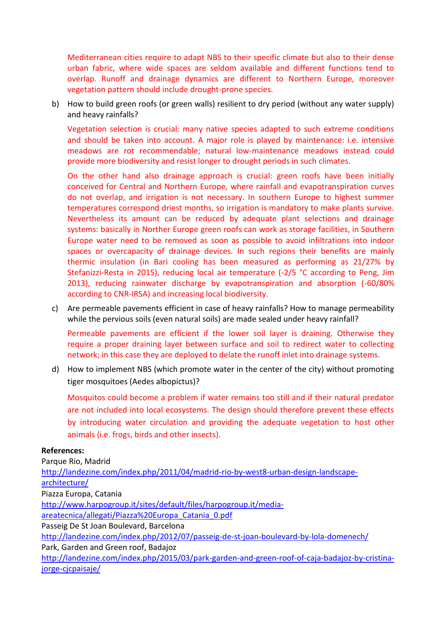Mediterranean cities require to adapt NBS to their specific climate but also to their dense urban fabric, where wide spaces are seldom available and different functions tend to overlap. Runoff and drainage dynamics are different to Northern Europe, moreover vegetation pattern should include drought-prone species.

b) How to build green roofs (or green walls) resilient to dry period (without any water supply) and heavy rainfalls?

Vegetation selection is crucial: many native species adapted to such extreme conditions and should be taken into account. A major role is played by maintenance: i.e. intensive meadows are rot recommendable; natural low-maintenance meadows instead could provide more biodiversity and resist longer to drought periods in such climates.

On the other hand also drainage approach is crucial: green roofs have been initially conceived for Central and Northern Europe, where rainfall and evapotranspiration curves do not overlap, and irrigation is not necessary. In southern Europe to highest summer temperatures correspond driest months, so irrigation is mandatory to make plants survive. Nevertheless its amount can be reduced by adequate plant selections and drainage systems: basically in Norther Europe green roofs can work as storage facilities, in Southern Europe water need to be removed as soon as possible to avoid infiltrations into indoor spaces or overcapacity of drainage devices. In such regions their benefits are mainly thermic insulation (in Bari cooling has been measured as performing as 21/27% by Stefanizzi-Resta in 2015), reducing local air temperature (-2/5 °C according to Peng, Jim 2013), reducing rainwater discharge by evapotranspiration and absorption (-60/80% according to CNR-IRSA) and increasing local biodiversity.

c) Are permeable pavements efficient in case of heavy rainfalls? How to manage permeability while the pervious soils (even natural soils) are made sealed under heavy rainfall?

Permeable pavements are efficient if the lower soil layer is draining. Otherwise they require a proper draining layer between surface and soil to redirect water to collecting network; in this case they are deployed to delate the runoff inlet into drainage systems.

d) How to implement NBS (which promote water in the center of the city) without promoting tiger mosquitoes (Aedes albopictus)?

Mosquitos could become a problem if water remains too still and if their natural predator are not included into local ecosystems. The design should therefore prevent these effects by introducing water circulation and providing the adequate vegetation to host other animals (i.e. frogs, birds and other insects).

## **References:**

Parque Rio, Madrid [http://landezine.com/index.php/2011/04/madrid-rio-by-west8-urban-design-landscape](http://landezine.com/index.php/2011/04/madrid-rio-by-west8-urban-design-landscape-architecture/)[architecture/](http://landezine.com/index.php/2011/04/madrid-rio-by-west8-urban-design-landscape-architecture/) Piazza Europa, Catania [http://www.harpogroup.it/sites/default/files/harpogroup.it/media](http://www.harpogroup.it/sites/default/files/harpogroup.it/media-areatecnica/allegati/Piazza%20Europa_Catania_0.pdf)[areatecnica/allegati/Piazza%20Europa\\_Catania\\_0.pdf](http://www.harpogroup.it/sites/default/files/harpogroup.it/media-areatecnica/allegati/Piazza%20Europa_Catania_0.pdf) Passeig De St Joan Boulevard, Barcelona <http://landezine.com/index.php/2012/07/passeig-de-st-joan-boulevard-by-lola-domenech/> Park, Garden and Green roof, Badajoz [http://landezine.com/index.php/2015/03/park-garden-and-green-roof-of-caja-badajoz-by-cristina](http://landezine.com/index.php/2015/03/park-garden-and-green-roof-of-caja-badajoz-by-cristina-jorge-cjcpaisaje/)[jorge-cjcpaisaje/](http://landezine.com/index.php/2015/03/park-garden-and-green-roof-of-caja-badajoz-by-cristina-jorge-cjcpaisaje/)